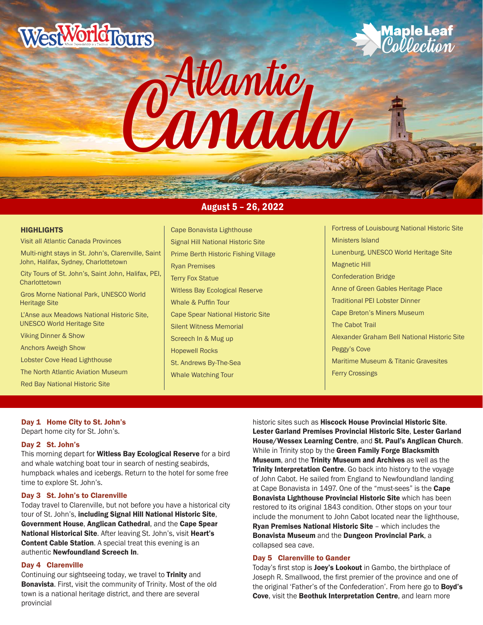# WestWorldTours



# o Atlantic

# August 5 – 26, 2022

### **HIGHLIGHTS**

Visit all Atlantic Canada Provinces Multi-night stays in St. John's, Clarenville, Saint John, Halifax, Sydney, Charlottetown City Tours of St. John's, Saint John, Halifax, PEI, **Charlottetown** Gros Morne National Park, UNESCO World Heritage Site L'Anse aux Meadows National Historic Site, UNESCO World Heritage Site Viking Dinner & Show Anchors Aweigh Show Lobster Cove Head Lighthouse The North Atlantic Aviation Museum Red Bay National Historic Site

Cape Bonavista Lighthouse Signal Hill National Historic Site Prime Berth Historic Fishing Village Ryan Premises Terry Fox Statue Witless Bay Ecological Reserve Whale & Puffin Tour Cape Spear National Historic Site Silent Witness Memorial Screech In & Mug up Hopewell Rocks St. Andrews By-The-Sea Whale Watching Tour

Fortress of Louisbourg National Historic Site Ministers Island Lunenburg, UNESCO World Heritage Site Magnetic Hill Confederation Bridge Anne of Green Gables Heritage Place Traditional PEI Lobster Dinner Cape Breton's Miners Museum The Cabot Trail Alexander Graham Bell National Historic Site Peggy's Cove Maritime Museum & Titanic Gravesites Ferry Crossings

### Day 1 Home City to St. John's

Depart home city for St. John's.

### Day 2 St. John's

This morning depart for **Witless Bay Ecological Reserve** for a bird and whale watching boat tour in search of nesting seabirds, humpback whales and icebergs. Return to the hotel for some free time to explore St. John's.

### Day 3 St. John's to Clarenville

Today travel to Clarenville, but not before you have a historical city tour of St. John's, including Signal Hill National Historic Site, Government House, Anglican Cathedral, and the Cape Spear National Historical Site. After leaving St. John's, visit Heart's **Content Cable Station.** A special treat this evening is an authentic Newfoundland Screech In.

### Day 4 Clarenville

Continuing our sightseeing today, we travel to Trinity and Bonavista. First, visit the community of Trinity. Most of the old town is a national heritage district, and there are several provincial

historic sites such as Hiscock House Provincial Historic Site. Lester Garland Premises Provincial Historic Site, Lester Garland House/Wessex Learning Centre, and St. Paul's Anglican Church. While in Trinity stop by the Green Family Forge Blacksmith Museum, and the Trinity Museum and Archives as well as the Trinity Interpretation Centre. Go back into history to the voyage of John Cabot. He sailed from England to Newfoundland landing at Cape Bonavista in 1497. One of the "must-sees" is the Cape Bonavista Lighthouse Provincial Historic Site which has been restored to its original 1843 condition. Other stops on your tour include the monument to John Cabot located near the lighthouse, Ryan Premises National Historic Site – which includes the Bonavista Museum and the Dungeon Provincial Park, a collapsed sea cave.

## Day 5 Clarenville to Gander

Today's first stop is Joey's Lookout in Gambo, the birthplace of Joseph R. Smallwood, the first premier of the province and one of the original 'Father's of the Confederation'. From here go to **Boyd's** Cove, visit the Beothuk Interpretation Centre, and learn more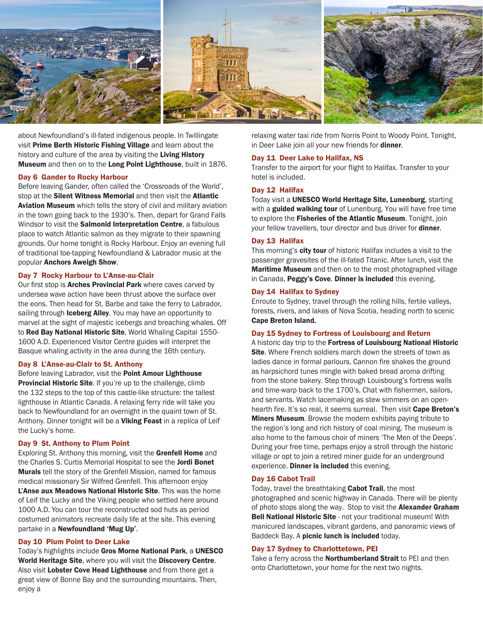

about Newfoundland's ill-fated indigenous people. In Twillingate visit Prime Berth Historic Fishing Village and learn about the history and culture of the area by visiting the Living History Museum and then on to the Long Point Lighthouse, built in 1876.

### Day 6 Gander to Rocky Harbour

Before leaving Gander, often called the 'Crossroads of the World', stop at the Silent Witness Memorial and then visit the Atlantic Aviation Museum which tells the story of civil and military aviation in the town going back to the 1930's. Then, depart for Grand Falls Windsor to visit the Salmonid Interpretation Centre, a fabulous place to watch Atlantic salmon as they migrate to their spawning grounds. Our home tonight is Rocky Harbour. Enjoy an evening full of traditional toe-tapping Newfoundland & Labrador music at the popular Anchors Aweigh Show.

### Day 7 Rocky Harbour to L'Anse-au-Clair

Our first stop is **Arches Provincial Park** where caves carved by undersea wave action have been thrust above the surface over the eons. Then head for St. Barbe and take the ferry to Labrador, sailing through lceberg Alley. You may have an opportunity to marvel at the sight of majestic icebergs and breaching whales. Off to Red Bay National Historic Site, World Whaling Capital 1550-1600 A.D. Experienced Visitor Centre guides will interpret the Basque whaling activity in the area during the 16th century.

### Day 8 L'Anse-au-Clair to St. Anthony

Before leaving Labrador, visit the Point Amour Lighthouse **Provincial Historic Site.** If you're up to the challenge, climb the 132 steps to the top of this castle-like structure: the tallest lighthouse in Atlantic Canada. A relaxing ferry ride will take you back to Newfoundland for an overnight in the quaint town of St. Anthony. Dinner tonight will be a Viking Feast in a replica of Leif the Lucky's home.

### Day 9 St. Anthony to Plum Point

Exploring St. Anthony this morning, visit the Grenfell Home and the Charles S. Curtis Memorial Hospital to see the **Jordi Bonet** Murals tell the story of the Grenfell Mission, named for famous medical missionary Sir Wilfred Grenfell. This afternoon enjoy L'Anse aux Meadows National Historic Site. This was the home of Leif the Lucky and the Viking people who settled here around 1000 A.D. You can tour the reconstructed sod huts as period costumed animators recreate daily life at the site. This evening partake in a Newfoundland 'Mug Up'.

### Day 10 Plum Point to Deer Lake

Today's highlights include Gros Morne National Park, a UNESCO World Heritage Site, where you will visit the Discovery Centre. Also visit Lobster Cove Head Lighthouse and from there get a great view of Bonne Bay and the surrounding mountains. Then, enjoy a

relaxing water taxi ride from Norris Point to Woody Point. Tonight, in Deer Lake join all your new friends for **dinner**.

### Day 11 Deer Lake to Halifax, NS

Transfer to the airport for your flight to Halifax. Transfer to your hotel is included.

### Day 12 Halifax

Today visit a UNESCO World Heritage Site, Lunenburg, starting with a guided walking tour of Lunenburg. You will have free time to explore the Fisheries of the Atlantic Museum. Tonight, join your fellow travellers, tour director and bus driver for **dinner**.

### Day 13 Halifax

This morning's city tour of historic Halifax includes a visit to the passenger gravesites of the ill-fated Titanic. After lunch, visit the Maritime Museum and then on to the most photographed village in Canada, Peggy's Cove. Dinner is included this evening.

### Day 14 Halifax to Sydney

Enroute to Sydney, travel through the rolling hills, fertile valleys, forests, rivers, and lakes of Nova Scotia, heading north to scenic Cape Breton Island.

### Day 15 Sydney to Fortress of Louisbourg and Return

A historic day trip to the Fortress of Louisbourg National Historic Site. Where French soldiers march down the streets of town as ladies dance in formal parlours. Cannon fire shakes the ground as harpsichord tunes mingle with baked bread aroma drifting from the stone bakery. Step through Louisbourg's fortress walls and time-warp back to the 1700's. Chat with fishermen, sailors, and servants. Watch lacemaking as stew simmers on an openhearth fire. It's so real, it seems surreal. Then visit Cape Breton's Miners Museum. Browse the modern exhibits paying tribute to the region's long and rich history of coal mining. The museum is also home to the famous choir of miners 'The Men of the Deeps'. During your free time, perhaps enjoy a stroll through the historic village or opt to join a retired miner guide for an underground experience. Dinner is included this evening.

### Day 16 Cabot Trail

Today, travel the breathtaking Cabot Trail, the most photographed and scenic highway in Canada. There will be plenty of photo stops along the way. Stop to visit the Alexander Graham Bell National Historic Site - not your traditional museum! With manicured landscapes, vibrant gardens, and panoramic views of Baddeck Bay. A picnic lunch is included today.

### Day 17 Sydney to Charlottetown, PEI

Take a ferry across the **Northumberland Strait** to PEI and then onto Charlottetown, your home for the next two nights.